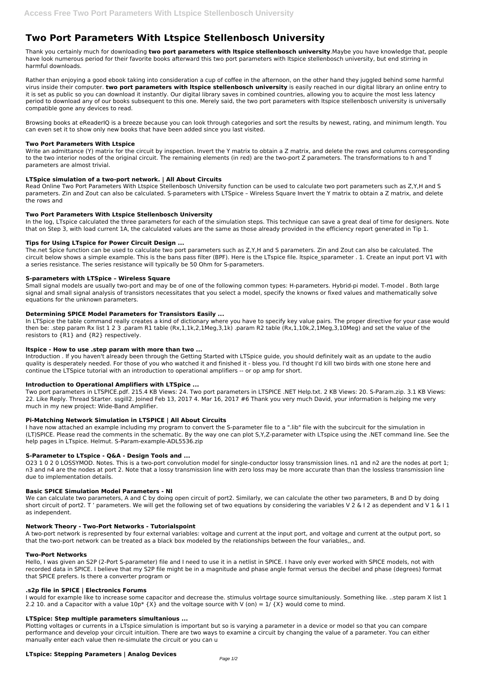# **Two Port Parameters With Ltspice Stellenbosch University**

Thank you certainly much for downloading **two port parameters with ltspice stellenbosch university**.Maybe you have knowledge that, people have look numerous period for their favorite books afterward this two port parameters with ltspice stellenbosch university, but end stirring in harmful downloads.

Rather than enjoying a good ebook taking into consideration a cup of coffee in the afternoon, on the other hand they juggled behind some harmful virus inside their computer. **two port parameters with ltspice stellenbosch university** is easily reached in our digital library an online entry to it is set as public so you can download it instantly. Our digital library saves in combined countries, allowing you to acquire the most less latency period to download any of our books subsequent to this one. Merely said, the two port parameters with ltspice stellenbosch university is universally compatible gone any devices to read.

Write an admittance (Y) matrix for the circuit by inspection. Invert the Y matrix to obtain a Z matrix, and delete the rows and columns corresponding to the two interior nodes of the original circuit. The remaining elements (in red) are the two-port Z parameters. The transformations to h and T parameters are almost trivial.

Browsing books at eReaderIQ is a breeze because you can look through categories and sort the results by newest, rating, and minimum length. You can even set it to show only new books that have been added since you last visited.

# **Two Port Parameters With Ltspice**

# **LTSpice simulation of a two-port network. | All About Circuits**

Read Online Two Port Parameters With Ltspice Stellenbosch University function can be used to calculate two port parameters such as Z,Y,H and S parameters. Zin and Zout can also be calculated. S-parameters with LTSpice – Wireless Square Invert the Y matrix to obtain a Z matrix, and delete the rows and

# **Two Port Parameters With Ltspice Stellenbosch University**

In the log, LTspice calculated the three parameters for each of the simulation steps. This technique can save a great deal of time for designers. Note that on Step 3, with load current 1A, the calculated values are the same as those already provided in the efficiency report generated in Tip 1.

# **Tips for Using LTspice for Power Circuit Design ...**

The.net Spice function can be used to calculate two port parameters such as Z,Y,H and S parameters. Zin and Zout can also be calculated. The circuit below shows a simple example. This is the bans pass filter (BPF). Here is the LTspice file. Itspice sparameter . 1. Create an input port V1 with a series resistance. The series resistance will typically be 50 Ohm for S-parameters.

## **S-parameters with LTSpice – Wireless Square**

Small signal models are usually two-port and may be of one of the following common types: H-parameters. Hybrid-pi model. T-model . Both large signal and small signal analysis of transistors necessitates that you select a model, specify the knowns or fixed values and mathematically solve equations for the unknown parameters.

I would for example like to increase some capacitor and decrease the. stimulus volrtage source simultaniously. Something like. ..step param X list 1 2.2 10. and a Capacitor with a value  $10p^*$  {X} and the voltage source with V (on) = 1/ {X} would come to mind.

# **Determining SPICE Model Parameters for Transistors Easily ...**

In LTSpice the table command really creates a kind of dictionary where you have to specify key value pairs. The proper directive for your case would then be: .step param Rx list 1 2 3 .param R1 table (Rx,1,1k,2,1Meg,3,1k) .param R2 table (Rx,1,10k,2,1Meg,3,10Meg) and set the value of the resistors to {R1} and {R2} respectively.

## **ltspice - How to use .step param with more than two ...**

Introduction . If you haven't already been through the Getting Started with LTSpice guide, you should definitely wait as an update to the audio quality is desperately needed. For those of you who watched it and finished it - bless you. I'd thought I'd kill two birds with one stone here and continue the LTSpice tutorial with an introduction to operational amplifiers -- or op amp for short.

# **Introduction to Operational Amplifiers with LTSpice ...**

Two port parameters in LTSPICE.pdf. 215.4 KB Views: 24. Two port parameters in LTSPICE .NET Help.txt. 2 KB Views: 20. S-Param.zip. 3.1 KB Views: 22. Like Reply. Thread Starter. ssgill2. Joined Feb 13, 2017 4. Mar 16, 2017 #6 Thank you very much David, your information is helping me very much in my new project: Wide-Band Amplifier.

# **Pi-Matching Network Simulation in LTSPICE | All About Circuits**

I have now attached an example including my program to convert the S-parameter file to a ".lib" file with the subcircuit for the simulation in (LT)SPICE. Please read the comments in the schematic. By the way one can plot S,Y,Z-parameter with LTspice using the .NET command line. See the help pages in LTspice. Helmut. S-Param-example-ADL5536.zip

# **S-Parameter to LTspice - Q&A - Design Tools and ...**

O23 1 0 2 0 LOSSYMOD. Notes. This is a two-port convolution model for single-conductor lossy transmission lines. n1 and n2 are the nodes at port 1; n3 and n4 are the nodes at port 2. Note that a lossy transmission line with zero loss may be more accurate than than the lossless transmission line due to implementation details.

## **Basic SPICE Simulation Model Parameters - NI**

We can calculate two parameters, A and C by doing open circuit of port2. Similarly, we can calculate the other two parameters, B and D by doing short circuit of port2. T' parameters. We will get the following set of two equations by considering the variables V 2 & I 2 as dependent and V 1 & I 1

as independent.

#### **Network Theory - Two-Port Networks - Tutorialspoint**

A two-port network is represented by four external variables: voltage and current at the input port, and voltage and current at the output port, so that the two-port network can be treated as a black box modeled by the relationships between the four variables,, and.

## **Two-Port Networks**

Hello, I was given an S2P (2-Port S-parameter) file and I need to use it in a netlist in SPICE. I have only ever worked with SPICE models, not with recorded data in SPICE. I believe that my S2P file might be in a magnitude and phase angle format versus the decibel and phase (degrees) format that SPICE prefers. Is there a converter program or

#### **.s2p file in SPICE | Electronics Forums**

## **LTSpice: Step multiple parameters simultanious ...**

Plotting voltages or currents in a LTspice simulation is important but so is varying a parameter in a device or model so that you can compare performance and develop your circuit intuition. There are two ways to examine a circuit by changing the value of a parameter. You can either manually enter each value then re-simulate the circuit or you can u

## **LTspice: Stepping Parameters | Analog Devices**